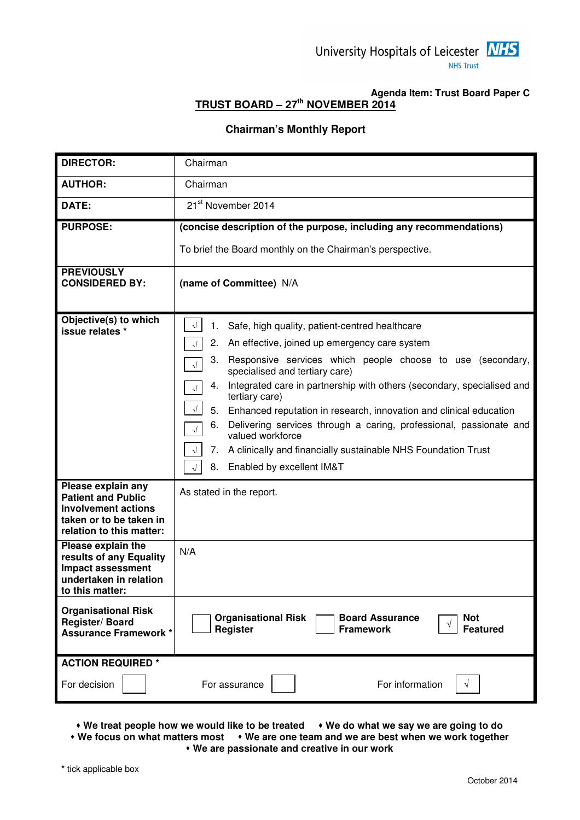

### **Agenda Item: Trust Board Paper C TRUST BOARD – 27th NOVEMBER 2014**

#### **Chairman's Monthly Report**

| <b>DIRECTOR:</b>                                                                                                                     | Chairman                                                                                                                                                                                                                                                                                                                                                                                                                                                                                                                                                                                                                                                                                                                 |
|--------------------------------------------------------------------------------------------------------------------------------------|--------------------------------------------------------------------------------------------------------------------------------------------------------------------------------------------------------------------------------------------------------------------------------------------------------------------------------------------------------------------------------------------------------------------------------------------------------------------------------------------------------------------------------------------------------------------------------------------------------------------------------------------------------------------------------------------------------------------------|
| <b>AUTHOR:</b>                                                                                                                       | Chairman                                                                                                                                                                                                                                                                                                                                                                                                                                                                                                                                                                                                                                                                                                                 |
| DATE:                                                                                                                                | 21 <sup>st</sup> November 2014                                                                                                                                                                                                                                                                                                                                                                                                                                                                                                                                                                                                                                                                                           |
| <b>PURPOSE:</b>                                                                                                                      | (concise description of the purpose, including any recommendations)<br>To brief the Board monthly on the Chairman's perspective.                                                                                                                                                                                                                                                                                                                                                                                                                                                                                                                                                                                         |
| <b>PREVIOUSLY</b><br><b>CONSIDERED BY:</b>                                                                                           | (name of Committee) N/A                                                                                                                                                                                                                                                                                                                                                                                                                                                                                                                                                                                                                                                                                                  |
| Objective(s) to which<br>issue relates *                                                                                             | Safe, high quality, patient-centred healthcare<br>$\sqrt{ }$<br>1.<br>2.<br>An effective, joined up emergency care system<br>$\sqrt{ }$<br>Responsive services which people choose to use (secondary,<br>3.<br>$\lambda$<br>specialised and tertiary care)<br>Integrated care in partnership with others (secondary, specialised and<br>4.<br>$\sqrt{ }$<br>tertiary care)<br>$\sqrt{ }$<br>5.<br>Enhanced reputation in research, innovation and clinical education<br>Delivering services through a caring, professional, passionate and<br>6.<br>$\sqrt{ }$<br>valued workforce<br>A clinically and financially sustainable NHS Foundation Trust<br>7.<br>$\sqrt{ }$<br>Enabled by excellent IM&T<br>8.<br>$\sqrt{ }$ |
| Please explain any<br><b>Patient and Public</b><br><b>Involvement actions</b><br>taken or to be taken in<br>relation to this matter: | As stated in the report.                                                                                                                                                                                                                                                                                                                                                                                                                                                                                                                                                                                                                                                                                                 |
| Please explain the<br>results of any Equality<br><b>Impact assessment</b><br>undertaken in relation<br>to this matter:               | N/A                                                                                                                                                                                                                                                                                                                                                                                                                                                                                                                                                                                                                                                                                                                      |
| <b>Organisational Risk</b><br>Register/Board<br><b>Assurance Framework *</b>                                                         | <b>Organisational Risk</b><br><b>Board Assurance</b><br><b>Not</b><br>V<br>Register<br><b>Featured</b><br><b>Framework</b>                                                                                                                                                                                                                                                                                                                                                                                                                                                                                                                                                                                               |
| <b>ACTION REQUIRED *</b><br>For decision                                                                                             | For information<br>For assurance<br>٦                                                                                                                                                                                                                                                                                                                                                                                                                                                                                                                                                                                                                                                                                    |

• We treat people how we would like to be treated • We do what we say we are going to do  **We focus on what matters most We are one team and we are best when we work together** 

 **We are passionate and creative in our work**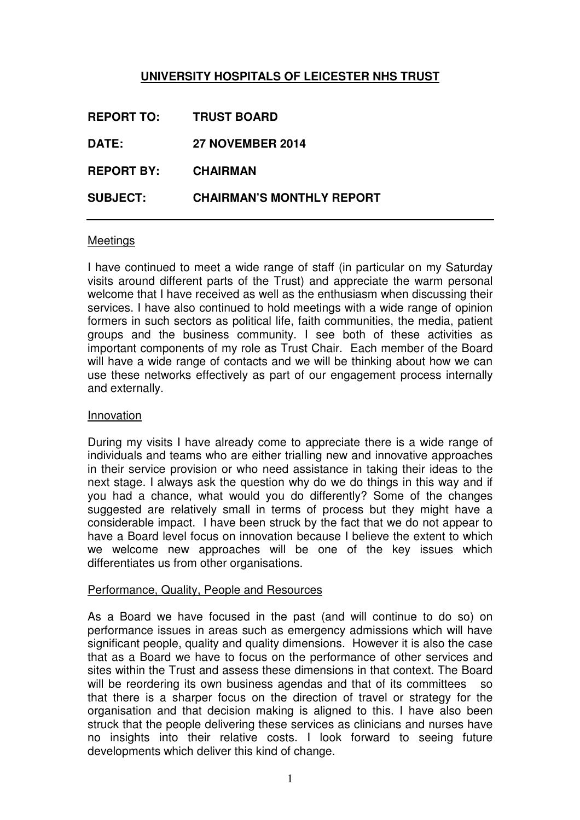# **UNIVERSITY HOSPITALS OF LEICESTER NHS TRUST**

| <b>REPORT TO:</b> | <b>TRUST BOARD</b>               |
|-------------------|----------------------------------|
| DATE:             | <b>27 NOVEMBER 2014</b>          |
| <b>REPORT BY:</b> | <b>CHAIRMAN</b>                  |
| <b>SUBJECT:</b>   | <b>CHAIRMAN'S MONTHLY REPORT</b> |

### Meetings

I have continued to meet a wide range of staff (in particular on my Saturday visits around different parts of the Trust) and appreciate the warm personal welcome that I have received as well as the enthusiasm when discussing their services. I have also continued to hold meetings with a wide range of opinion formers in such sectors as political life, faith communities, the media, patient groups and the business community. I see both of these activities as important components of my role as Trust Chair. Each member of the Board will have a wide range of contacts and we will be thinking about how we can use these networks effectively as part of our engagement process internally and externally.

### Innovation

During my visits I have already come to appreciate there is a wide range of individuals and teams who are either trialling new and innovative approaches in their service provision or who need assistance in taking their ideas to the next stage. I always ask the question why do we do things in this way and if you had a chance, what would you do differently? Some of the changes suggested are relatively small in terms of process but they might have a considerable impact. I have been struck by the fact that we do not appear to have a Board level focus on innovation because I believe the extent to which we welcome new approaches will be one of the key issues which differentiates us from other organisations.

### Performance, Quality, People and Resources

As a Board we have focused in the past (and will continue to do so) on performance issues in areas such as emergency admissions which will have significant people, quality and quality dimensions. However it is also the case that as a Board we have to focus on the performance of other services and sites within the Trust and assess these dimensions in that context. The Board will be reordering its own business agendas and that of its committees so that there is a sharper focus on the direction of travel or strategy for the organisation and that decision making is aligned to this. I have also been struck that the people delivering these services as clinicians and nurses have no insights into their relative costs. I look forward to seeing future developments which deliver this kind of change.